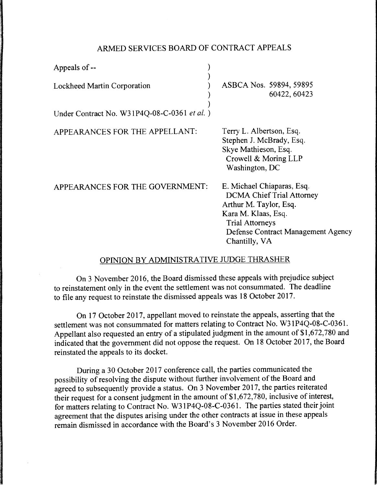## ARMED SERVICES BOARD OF CONTRACT APPEALS

| Appeals of --                               |                                                                                                                                                                                                         |
|---------------------------------------------|---------------------------------------------------------------------------------------------------------------------------------------------------------------------------------------------------------|
| <b>Lockheed Martin Corporation</b>          | ASBCA Nos. 59894, 59895<br>60422, 60423                                                                                                                                                                 |
| Under Contract No. W31P4Q-08-C-0361 et al.) |                                                                                                                                                                                                         |
| APPEARANCES FOR THE APPELLANT:              | Terry L. Albertson, Esq.<br>Stephen J. McBrady, Esq.<br>Skye Mathieson, Esq.<br>Crowell & Moring LLP<br>Washington, DC                                                                                  |
| APPEARANCES FOR THE GOVERNMENT:             | E. Michael Chiaparas, Esq.<br><b>DCMA Chief Trial Attorney</b><br>Arthur M. Taylor, Esq.<br>Kara M. Klaas, Esq.<br><b>Trial Attorneys</b><br><b>Defense Contract Management Agency</b><br>Chantilly, VA |

## OPINION BY ADMINISTRATIVE JUDGE THRASHER

On 3 November 2016, the Board dismissed these appeals with prejudice subject to reinstatement only in the event the settlement was not consummated. The deadline to file any request to reinstate the dismissed appeals was 18 October 2017.

On 17 October 2017, appellant moved to reinstate the appeals, asserting that the settlement was not consummated for matters relating to Contract No. W31P4Q-08-C-0361. Appellant also requested an entry of a stipulated judgment in the amount of \$1,672, 780 and indicated that the government did not oppose the request. On 18 October 2017, the Board reinstated the appeals to its docket.

During a 30 October 2017 conference call, the parties communicated the possibility of resolving the dispute without further involvement of the Board and agreed to subsequently provide a status. On 3 November 2017, the parties reiterated their request for a consent judgment in the amount of \$1,672, 780, inclusive of interest, for matters relating to Contract No. W31P4Q-08-C-0361. The parties stated their joint agreement that the disputes arising under the other contracts at issue in these appeals remain dismissed in accordance with the Board's 3 November 2016 Order.